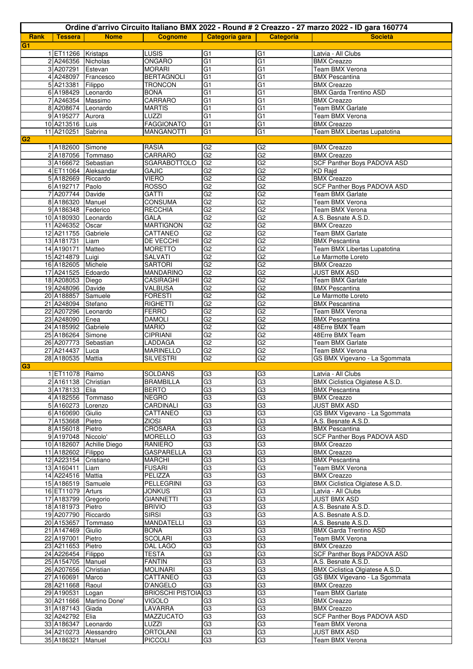| Ordine d'arrivo Circuito Italiano BMX 2022 - Round # 2 Creazzo - 27 marzo 2022 - ID gara 160774 |                                          |                          |                                    |                      |                                  |                                             |  |
|-------------------------------------------------------------------------------------------------|------------------------------------------|--------------------------|------------------------------------|----------------------|----------------------------------|---------------------------------------------|--|
| Rank                                                                                            | <b>Tessera</b>                           | <b>Nome</b>              | <b>Cognome</b>                     | Categoria gara       | <b>Categoria</b>                 | <b>Società</b>                              |  |
| G <sub>1</sub>                                                                                  |                                          |                          |                                    |                      |                                  |                                             |  |
|                                                                                                 | 1 ET11266 Kristaps                       |                          | LUSIS                              | G <sub>1</sub>       | G <sub>1</sub>                   | Latvia - All Clubs                          |  |
|                                                                                                 | 2 A246356 Nicholas                       |                          | ONGARO                             | G <sub>1</sub>       | G <sub>1</sub>                   | <b>BMX</b> Creazzo                          |  |
|                                                                                                 | 3 A207291 Estevan                        |                          | <b>MORARI</b>                      | G <sub>1</sub>       | $\overline{G}$                   | Team BMX Verona                             |  |
|                                                                                                 |                                          | 4 A248097 Francesco      | <b>BERTAGNOLI</b>                  | G <sub>1</sub>       | G1                               | <b>BMX Pescantina</b>                       |  |
|                                                                                                 | 5 A213381 Filippo                        |                          | <b>TRONCON</b>                     | $\overline{G}$       | $\overline{G1}$                  | <b>BMX Creazzo</b>                          |  |
|                                                                                                 | 6 A198429 Leonardo                       |                          | <b>BONA</b>                        | G <sub>1</sub>       | G <sub>1</sub>                   | <b>BMX Garda Trentino ASD</b>               |  |
|                                                                                                 | 7 A246354 Massimo                        |                          | CARRARO                            | $\overline{G}$       | G1                               | <b>BMX Creazzo</b>                          |  |
|                                                                                                 | 8 A208674 Leonardo                       |                          | <b>MARTIS</b>                      | $\overline{G1}$      | G1                               | Team BMX Garlate                            |  |
|                                                                                                 | 9 A195277 Aurora<br>10 A213516 Luis      |                          | LUZZI<br><b>FAGGIONATO</b>         | G1<br>G <sub>1</sub> | G1<br>G <sub>1</sub>             | Team BMX Verona<br><b>BMX Creazzo</b>       |  |
|                                                                                                 | 11 A210251                               | Sabrina                  | <b>MANGANOTTI</b>                  | G <sub>1</sub>       | G <sub>1</sub>                   | Team BMX Libertas Lupatotina                |  |
| G <sub>2</sub>                                                                                  |                                          |                          |                                    |                      |                                  |                                             |  |
|                                                                                                 | 1 A182600 Simone                         |                          | <b>RASIA</b>                       | G2                   | G <sub>2</sub>                   | <b>BMX Creazzo</b>                          |  |
|                                                                                                 | 2 A187056 Tommaso                        |                          | CARRARO                            | G2                   | G2                               | <b>BMX Creazzo</b>                          |  |
|                                                                                                 | 3 A166672 Sebastian                      |                          | <b>SGARABOTTOLO</b>                | GS                   | G <sub>2</sub>                   | SCF Panther Boys PADOVA ASD                 |  |
|                                                                                                 |                                          | 4 ET11064 Aleksandar     | GAJIC                              | G <sub>2</sub>       | G2                               | KD Raid                                     |  |
|                                                                                                 | 5 A182669 Riccardo                       |                          | <b>VIERO</b>                       | G2                   | G2                               | <b>BMX Creazzo</b>                          |  |
|                                                                                                 | 6 A192717 Paolo                          |                          | <b>ROSSO</b>                       | G2                   | G2                               | SCF Panther Boys PADOVA ASD                 |  |
|                                                                                                 | 7 A207744 Davide                         |                          | GATTI                              | G2                   | G2                               | <b>Team BMX Garlate</b>                     |  |
|                                                                                                 | 8 A186320 Manuel                         |                          | <b>CONSUMA</b>                     | G2                   | G <sub>2</sub>                   | <b>Team BMX Verona</b>                      |  |
|                                                                                                 | 9 A186348 Federico                       |                          | <b>RECCHIA</b>                     | G <sub>2</sub>       | G <sub>2</sub>                   | Team BMX Verona                             |  |
|                                                                                                 | 10 A180930 Leonardo                      |                          | GALA                               | G2                   | G2                               | A.S. Besnate A.S.D.                         |  |
|                                                                                                 | 11 A246352                               | Oscar                    | <b>MARTIGNON</b>                   | G2                   | G2                               | <b>BMX Creazzo</b>                          |  |
|                                                                                                 | 12 A211755                               | Gabriele                 | CATTANEO                           | G2                   | G2                               | Team BMX Garlate                            |  |
|                                                                                                 | 13 A181731 Liam                          |                          | DE VECCHI                          | G2                   | G2                               | <b>BMX Pescantina</b>                       |  |
|                                                                                                 | 14 A190171                               | Matteo                   | <b>MORETTO</b>                     | G2                   | G2                               | Team BMX Libertas Lupatotina                |  |
|                                                                                                 | 15 A214879 Luigi                         |                          | SALVATI                            | G2<br>G2             | G2<br>G2                         | Le Marmotte Loreto                          |  |
|                                                                                                 | 16 A182605 Michele                       |                          | <b>SARTORI</b><br><b>MANDARINO</b> | G2                   | G2                               | <b>BMX Creazzo</b><br><b>JUST BMX ASD</b>   |  |
|                                                                                                 | 17 A241525 Edoardo<br>18 A208053 Diego   |                          | CASIRAGHI                          | G2                   | G <sub>2</sub>                   | <b>Team BMX Garlate</b>                     |  |
|                                                                                                 | 19 A248096 Davide                        |                          | VALBUSA                            | G2                   | G <sub>2</sub>                   | <b>BMX Pescantina</b>                       |  |
|                                                                                                 | 20 A188857 Samuele                       |                          | <b>FORESTI</b>                     | G2                   | G2                               | Le Marmotte Loreto                          |  |
|                                                                                                 | 21 A248094 Stefano                       |                          | <b>RIGHETTI</b>                    | G2                   | G2                               | <b>BMX</b> Pescantina                       |  |
|                                                                                                 | 22 A207296                               | Leonardo                 | <b>FERRO</b>                       | G2                   | G2                               | Team BMX Verona                             |  |
|                                                                                                 | 23 A248090                               | Enea                     | <b>DAMOLI</b>                      | G2                   | G2                               | <b>BMX Pescantina</b>                       |  |
|                                                                                                 | 24 A185992 Gabriele                      |                          | <b>MARIO</b>                       | G2                   | G2                               | 48Erre BMX Team                             |  |
|                                                                                                 | 25 A186264 Simone                        |                          | <b>CIPRIANI</b>                    | G2                   | G2                               | 48Erre BMX Team                             |  |
|                                                                                                 | 26 A207773 Sebastian                     |                          | LADDAGA                            | G2                   | G2                               | <b>Team BMX Garlate</b>                     |  |
|                                                                                                 | 27 A214437 Luca                          |                          | MARINELLO                          | G2                   | G <sub>2</sub>                   | Team BMX Verona                             |  |
|                                                                                                 | 28 A180535 Mattia                        |                          | <b>SILVESTRI</b>                   | G2                   | G2                               | GS BMX Vigevano - La Sgommata               |  |
| G3                                                                                              |                                          |                          |                                    |                      |                                  |                                             |  |
|                                                                                                 | 1 ET11078 Raimo                          |                          | SOLDANS                            | G3                   | G3                               | Latvia - All Clubs                          |  |
|                                                                                                 | 2 A161138 Christian                      |                          | <b>BRAMBILLA</b>                   | G <sub>3</sub><br>G3 | G <sub>3</sub><br>G <sub>3</sub> | BMX Ciclistica Olgiatese A.S.D.             |  |
|                                                                                                 | 3 A178133 Elia                           | 4 A182556 Tommaso        | <b>BERTO</b><br><b>NEGRO</b>       | G3                   | G3                               | <b>BMX Pescantina</b><br><b>BMX Creazzo</b> |  |
|                                                                                                 | 5 A160273 Lorenzo                        |                          | CARDINALI                          | G3                   | G3                               | <b>JUST BMX ASD</b>                         |  |
|                                                                                                 | 6 A160690 Giulio                         |                          | CATTANEO                           | G3                   | G3                               | GS BMX Vigevano - La Sgommata               |  |
|                                                                                                 | 7 A153668 Pietro                         |                          | ZIOSI                              | G3                   | G3                               | A.S. Besnate A.S.D.                         |  |
|                                                                                                 | 8 A156018 Pietro                         |                          | CROSARA                            | G <sub>3</sub>       | G <sub>3</sub>                   | <b>BMX</b> Pescantina                       |  |
|                                                                                                 | 9 A197048 Niccolo'                       |                          | <b>MORELLO</b>                     | G3                   | G3                               | SCF Panther Boys PADOVA ASD                 |  |
|                                                                                                 |                                          | 10 A182607 Achille Diego | <b>RANIERO</b>                     | G3                   | G3                               | <b>BMX Creazzo</b>                          |  |
|                                                                                                 | 11 A182602 Filippo                       |                          | <b>GASPARELLA</b>                  | G3                   | G3                               | <b>BMX Creazzo</b>                          |  |
|                                                                                                 | 12 A223154 Cristiano                     |                          | <b>MARCHI</b>                      | G3                   | G3                               | <b>BMX Pescantina</b>                       |  |
|                                                                                                 | 13 A160411 Liam                          |                          | <b>FUSARI</b>                      | G <sub>3</sub>       | G3                               | Team BMX Verona                             |  |
|                                                                                                 | 14 A224516 Mattia                        |                          | PELIZZA                            | G3                   | G <sub>3</sub>                   | <b>BMX Creazzo</b>                          |  |
|                                                                                                 | 15 A186519 Samuele                       |                          | <b>PELLEGRINI</b>                  | G <sub>3</sub>       | G3                               | BMX Ciclistica Olgiatese A.S.D.             |  |
|                                                                                                 | 16 ET11079 Arturs                        |                          | <b>JONKUS</b>                      | G3                   | G3                               | Latvia - All Clubs                          |  |
|                                                                                                 | 17 A183799 Gregorio                      |                          | <b>GIANNETTI</b>                   | G3<br>G3             | G <sub>3</sub><br>G3             | <b>JUST BMX ASD</b>                         |  |
|                                                                                                 | 18 A181973 Pietro<br>19 A207790 Riccardo |                          | <b>BRIVIO</b><br><b>SIRSI</b>      | G3                   | G3                               | A.S. Besnate A.S.D.<br>A.S. Besnate A.S.D.  |  |
|                                                                                                 |                                          | 20 A153657 Tommaso       | MANDATELLI                         | G3                   | G3                               | A.S. Besnate A.S.D.                         |  |
|                                                                                                 | 21 A147469 Giulio                        |                          | <b>BONA</b>                        | G3                   | G3                               | <b>BMX Garda Trentino ASD</b>               |  |
|                                                                                                 | 22 A197001 Pietro                        |                          | SCOLARI                            | G3                   | G3                               | Team BMX Verona                             |  |
|                                                                                                 | 23 A211653 Pietro                        |                          | DAL LAGO                           | G3                   | G3                               | <b>BMX Creazzo</b>                          |  |
|                                                                                                 | 24 A226454 Filippo                       |                          | <b>TESTA</b>                       | G3                   | G3                               | SCF Panther Boys PADOVA ASD                 |  |
|                                                                                                 | 25 A154705 Manuel                        |                          | <b>FANTIN</b>                      | G3                   | G3                               | A.S. Besnate A.S.D.                         |  |
|                                                                                                 | 26 A207656 Christian                     |                          | <b>MOLINARI</b>                    | G3                   | G3                               | BMX Ciclistica Olgiatese A.S.D.             |  |
|                                                                                                 | 27 A160691 Marco                         |                          | CATTANEO                           | G <sub>3</sub>       | G3                               | GS BMX Vigevano - La Sgommata               |  |
|                                                                                                 | 28 A211668 Raoul                         |                          | D'ANGELO                           | G3                   | G <sub>3</sub>                   | <b>BMX Creazzo</b>                          |  |
|                                                                                                 | 29 A190531 Logan                         |                          | <b>BRIOSCHI PISTOIA</b>            | G3                   | G3                               | Team BMX Garlate                            |  |
|                                                                                                 |                                          | 30 A211666 Martino Done' | <b>VIGOLO</b>                      | G <sub>3</sub>       | G3                               | <b>BMX Creazzo</b>                          |  |
|                                                                                                 | 31 A187143 Giada                         |                          | LAVARRA                            | G3                   | G <sub>3</sub>                   | <b>BMX Creazzo</b>                          |  |
|                                                                                                 | 32 A242792 Elia                          |                          | MAZZUCATO                          | G3                   | G3                               | SCF Panther Boys PADOVA ASD                 |  |
|                                                                                                 | 33 A186347 Leonardo                      |                          | LUZZI<br><b>ORTOLANI</b>           | G3<br>G3             | G3                               | Team BMX Verona<br><b>JUST BMX ASD</b>      |  |
|                                                                                                 | 35 A186321 Manuel                        | 34 A210273 Alessandro    | <b>PICCOLI</b>                     | G3                   | G3<br>G <sub>3</sub>             | Team BMX Verona                             |  |
|                                                                                                 |                                          |                          |                                    |                      |                                  |                                             |  |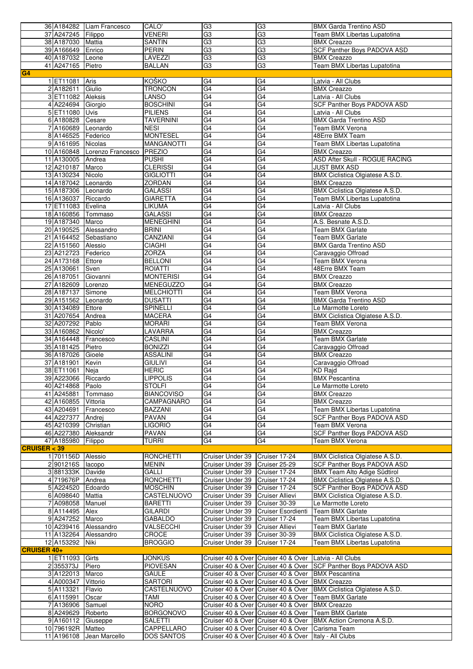|                    |                      |                              |                                 | G <sub>3</sub>                   | G <sub>3</sub>                                                                                                | <b>BMX Garda Trentino ASD</b>                                   |
|--------------------|----------------------|------------------------------|---------------------------------|----------------------------------|---------------------------------------------------------------------------------------------------------------|-----------------------------------------------------------------|
|                    |                      | 36 A184282 Liam Francesco    | CALO'                           |                                  |                                                                                                               |                                                                 |
|                    | 37 A247245 Filippo   |                              | VENERI                          | G <sub>3</sub>                   | G <sub>3</sub>                                                                                                | Team BMX Libertas Lupatotina                                    |
|                    | 38 A187030 Mattia    |                              | <b>SANTIN</b>                   | G3                               | G3                                                                                                            | <b>BMX Creazzo</b>                                              |
|                    | 39 A166649 Enrico    |                              | <b>PERIN</b>                    | G3                               | G3                                                                                                            | <b>SCF Panther Boys PADOVA ASD</b>                              |
|                    |                      |                              |                                 |                                  |                                                                                                               |                                                                 |
|                    | 40 A187032 Leone     |                              | LAVEZZI                         | G3                               | G3                                                                                                            | <b>BMX Creazzo</b>                                              |
|                    | 41 A247165 Pietro    |                              | <b>BALLAN</b>                   | G <sub>3</sub>                   | G <sub>3</sub>                                                                                                | Team BMX Libertas Lupatotina                                    |
| G <sub>4</sub>     |                      |                              |                                 |                                  |                                                                                                               |                                                                 |
|                    | 1 ET11081 Aris       |                              | KOŠKO                           | G4                               | G4                                                                                                            | Latvia - All Clubs                                              |
|                    |                      |                              |                                 |                                  |                                                                                                               |                                                                 |
|                    | 2 A182611            | Giulio                       | <b>TRONCON</b>                  | G4                               | G4                                                                                                            | <b>BMX Creazzo</b>                                              |
|                    | 3 ET11082 Aleksis    |                              | LANSO                           | G4                               | G4                                                                                                            | Latvia - All Clubs                                              |
|                    | 4 A224694 Giorgio    |                              | <b>BOSCHINI</b>                 | $\overline{G4}$                  | $\overline{G4}$                                                                                               | <b>SCF Panther Boys PADOVA ASD</b>                              |
|                    |                      |                              |                                 |                                  |                                                                                                               |                                                                 |
|                    | 5 ET11080 Uvis       |                              | <b>PILIENS</b>                  | $\overline{G4}$                  | G4                                                                                                            | Latvia - All Clubs                                              |
|                    | 6 A180828 Cesare     |                              | <b>TAVERNINI</b>                | G4                               | G4                                                                                                            | <b>BMX Garda Trentino ASD</b>                                   |
|                    | 7 A160689 Leonardo   |                              | <b>NESI</b>                     | G4                               | G4                                                                                                            | Team BMX Verona                                                 |
|                    |                      |                              |                                 | $\overline{G4}$                  | $\overline{G4}$                                                                                               |                                                                 |
|                    | 8 A146525 Federico   |                              | <b>MONTESEL</b>                 |                                  |                                                                                                               | 48Erre BMX Team                                                 |
|                    | 9 A161695 Nicolas    |                              | <b>MANGANOTTI</b>               | G4                               | G4                                                                                                            | Team BMX Libertas Lupatotina                                    |
|                    |                      | 10 A160848 Lorenzo Francesco | PREZIO                          | G4                               | G4                                                                                                            | <b>BMX Creazzo</b>                                              |
|                    | 11 A130005 Andrea    |                              | <b>PUSHI</b>                    | G4                               | G4                                                                                                            | ASD After Skull - ROGUE RACING                                  |
|                    |                      |                              |                                 |                                  |                                                                                                               |                                                                 |
|                    | 12 A210187 Marco     |                              | <b>CLERISSI</b>                 | G4                               | G4                                                                                                            | <b>JUST BMX ASD</b>                                             |
|                    | 13 A130234 Nicolo    |                              | <b>GIGLIOTTI</b>                | $\overline{G4}$                  | $\overline{G4}$                                                                                               | BMX Ciclistica Olgiatese A.S.D.                                 |
|                    | 14 A187042 Leonardo  |                              | <b>ZORDAN</b>                   | G4                               | G4                                                                                                            | <b>BMX Creazzo</b>                                              |
|                    |                      |                              |                                 |                                  | G4                                                                                                            |                                                                 |
|                    | 15 A187306 Leonardo  |                              | <b>GALASSI</b>                  | G4                               |                                                                                                               | BMX Ciclistica Olgiatese A.S.D.                                 |
|                    | 16 A136037 Riccardo  |                              | <b>GIARETTA</b>                 | G4                               | G4                                                                                                            | Team BMX Libertas Lupatotina                                    |
|                    | 17 ET11083 Evelina   |                              | LIKUMA                          | G4                               | $\overline{G4}$                                                                                               | Latvia - All Clubs                                              |
|                    | 18 A160856 Tommaso   |                              | <b>GALASSI</b>                  | G4                               | G4                                                                                                            | <b>BMX Creazzo</b>                                              |
|                    |                      |                              |                                 |                                  |                                                                                                               |                                                                 |
|                    | 19 A187340 Marco     |                              | <b>MENEGHINI</b>                | G4                               | G4                                                                                                            | A.S. Besnate A.S.D.                                             |
|                    |                      | 20 A190525 Alessandro        | <b>BRINI</b>                    | $\overline{G4}$                  | G4                                                                                                            | <b>Team BMX Garlate</b>                                         |
|                    |                      | 21 A164452 Sebastiano        | CANZIANI                        | G4                               | G4                                                                                                            | Team BMX Garlate                                                |
|                    |                      |                              |                                 |                                  |                                                                                                               |                                                                 |
|                    | 22 A151560 Alessio   |                              | <b>CIAGHI</b>                   | G4                               | G4                                                                                                            | <b>BMX Garda Trentino ASD</b>                                   |
|                    | 23 A212723 Federico  |                              | ZORZA                           | $\overline{G4}$                  | G4                                                                                                            | Caravaggio Offroad                                              |
|                    | 24 A173168 Ettore    |                              | <b>BELLONI</b>                  | $\overline{G4}$                  | $\overline{G4}$                                                                                               | Team BMX Verona                                                 |
|                    |                      |                              |                                 | $\overline{G4}$                  | $\overline{G4}$                                                                                               | 48Erre BMX Team                                                 |
|                    | 25 A130661           | Sven                         | <b>ROIATTI</b>                  |                                  |                                                                                                               |                                                                 |
|                    | 26 A187051           | Giovanni                     | <b>MONTERISI</b>                | G4                               | G4                                                                                                            | <b>BMX Creazzo</b>                                              |
|                    | 27 A182609 Lorenzo   |                              | MENEGUZZO                       | G4                               | G4                                                                                                            | <b>BMX Creazzo</b>                                              |
|                    | 28 A187137           | Simone                       | <b>MELCHIOTTI</b>               | G4                               | G4                                                                                                            | Team BMX Verona                                                 |
|                    |                      |                              |                                 |                                  |                                                                                                               |                                                                 |
|                    | 29 A151562 Leonardo  |                              | <b>DUSATTI</b>                  | G4                               | $\overline{G4}$                                                                                               | <b>BMX Garda Trentino ASD</b>                                   |
|                    | 30 A134089 Ettore    |                              | <b>SPINELLI</b>                 | G4                               | G4                                                                                                            | Le Marmotte Loreto                                              |
|                    | 31 A207654 Andrea    |                              | <b>MACERA</b>                   | G4                               | G4                                                                                                            | BMX Ciclistica Olgiatese A.S.D.                                 |
|                    |                      |                              |                                 |                                  |                                                                                                               |                                                                 |
|                    | 32 A207292 Pablo     |                              | <b>MORARI</b>                   | G4                               | G4                                                                                                            | Team BMX Verona                                                 |
|                    | 33 A160862 Nicolo'   |                              | LAVARRA                         | $\overline{G4}$                  | $\overline{G4}$                                                                                               | <b>BMX Creazzo</b>                                              |
|                    |                      | 34 A164448 Francesco         | <b>CASLINI</b>                  | G4                               | G4                                                                                                            | Team BMX Garlate                                                |
|                    | 35 A181425 Pietro    |                              | <b>BONIZZI</b>                  | G4                               | G4                                                                                                            | Caravaggio Offroad                                              |
|                    |                      |                              |                                 |                                  |                                                                                                               |                                                                 |
|                    | 36 A187026 Gioele    |                              | <b>ASSALINI</b>                 | G4                               | G4                                                                                                            | <b>BMX Creazzo</b>                                              |
|                    |                      |                              |                                 |                                  |                                                                                                               |                                                                 |
|                    |                      |                              | <b>GIULIVI</b>                  | G <sub>4</sub>                   |                                                                                                               |                                                                 |
|                    | 37 A181901 Kevin     |                              |                                 |                                  | G4                                                                                                            | Caravaggio Offroad                                              |
|                    | 38 ET11061 Neja      |                              | <b>HERIC</b>                    | G4                               | G4                                                                                                            | KD Rajd                                                         |
|                    | 39 A223066 Riccardo  |                              | <b>LIPPOLIS</b>                 | G <sub>4</sub>                   | G4                                                                                                            | <b>BMX Pescantina</b>                                           |
|                    | 40 A214868 Paolo     |                              | STOLFI                          | G4                               | $\overline{G4}$                                                                                               | Le Marmotte Loreto                                              |
|                    |                      |                              |                                 |                                  |                                                                                                               |                                                                 |
|                    | 41 A245881 Tommaso   |                              | <b>BIANCOVISO</b>               | G4                               | G4                                                                                                            | <b>BMX Creazzo</b>                                              |
|                    | 42 A160855 Vittoria  |                              | CAMPAGNARO                      | G4                               | G4                                                                                                            | <b>BMX Creazzo</b>                                              |
|                    |                      | 43 A204691 Francesco         | BAZZANI                         | G4                               | G4                                                                                                            | Team BMX Libertas Lupatotina                                    |
|                    | 44 A227377 Andrej    |                              | PAVAN                           | G4                               | G4                                                                                                            |                                                                 |
|                    |                      |                              |                                 |                                  |                                                                                                               | SCF Panther Boys PADOVA ASD                                     |
|                    | 45 A210399           | Christian                    | <b>LIGORIO</b>                  | G4                               | G <sub>4</sub>                                                                                                | Team BMX Verona                                                 |
|                    | 46 A227380 Aleksandr |                              | PAVAN                           | G4                               | G4                                                                                                            | <b>SCF Panther Boys PADOVA ASD</b>                              |
|                    | 47 A185980           | Filippo                      | <b>TURRI</b>                    | G4                               | G4                                                                                                            | Team BMX Verona                                                 |
| CRUISER < 39       |                      |                              |                                 |                                  |                                                                                                               |                                                                 |
|                    |                      |                              |                                 |                                  |                                                                                                               |                                                                 |
|                    | 1 701156D Alessio    |                              | <b>RONCHETTI</b>                | Cruiser Under 39                 | Cruiser 17-24                                                                                                 | BMX Ciclistica Olgiatese A.S.D.                                 |
|                    | 2001216S lacopo      |                              | <b>MENIN</b>                    | Cruiser Under 39 Cruiser 25-29   |                                                                                                               | SCF Panther Boys PADOVA ASD                                     |
|                    | 3 881333K Davide     |                              | GALLI                           | Cruiser Under 39 Cruiser 17-24   |                                                                                                               | <b>BMX Team Alto Adige Südtirol</b>                             |
|                    |                      |                              |                                 |                                  |                                                                                                               | <b>BMX Ciclistica Olgiatese A.S.D.</b>                          |
|                    | 4 719676P Andrea     |                              | <b>RONCHETTI</b>                | Cruiser Under 39                 | Cruiser 17-24                                                                                                 |                                                                 |
|                    | 5 A224520 Edoardo    |                              | <b>MOSCHIN</b>                  | Cruiser Under 39 Cruiser 17-24   |                                                                                                               | SCF Panther Boys PADOVA ASD                                     |
|                    | 6 A098640 Mattia     |                              | CASTELNUOVO                     | Cruiser Under 39 Cruiser Allievi |                                                                                                               | <b>BMX Ciclistica Olgiatese A.S.D.</b>                          |
|                    | 7 A098058 Manuel     |                              | <b>BARETTI</b>                  | Cruiser Under 39 Cruiser 30-39   |                                                                                                               | Le Marmotte Loreto                                              |
|                    |                      |                              |                                 |                                  |                                                                                                               |                                                                 |
|                    | 8 A114495 Alex       |                              | GILARDI                         |                                  | Cruiser Under 39 Cruiser Esordienti                                                                           | <b>Team BMX Garlate</b>                                         |
|                    | 9 A247252 Marco      |                              | <b>GABALDO</b>                  | Cruiser Under 39 Cruiser 17-24   |                                                                                                               | Team BMX Libertas Lupatotina                                    |
|                    |                      | 10 A239416 Alessandro        | VALSECCHI                       | Cruiser Under 39 Cruiser Allievi |                                                                                                               | Team BMX Garlate                                                |
|                    |                      |                              |                                 |                                  |                                                                                                               |                                                                 |
|                    |                      | 11 A132264 Alessandro        | CROCE                           | Cruiser Under 39 Cruiser 30-39   |                                                                                                               | BMX Ciclistica Olgiatese A.S.D.                                 |
|                    | 12 A153292           | Niki                         | <b>BROGGIO</b>                  | Cruiser Under 39 Cruiser 17-24   |                                                                                                               | Team BMX Libertas Lupatotina                                    |
| <b>CRUISER 40+</b> |                      |                              |                                 |                                  |                                                                                                               |                                                                 |
|                    |                      |                              |                                 |                                  |                                                                                                               |                                                                 |
|                    | 1 ET11093 Girts      |                              | <b>JONKUS</b>                   |                                  | Cruiser 40 & Over Cruiser 40 & Over Latvia - All Clubs                                                        |                                                                 |
|                    | 2355373J             | Piero                        | <b>PIOVESAN</b>                 |                                  |                                                                                                               | Cruiser 40 & Over Cruiser 40 & Over SCF Panther Boys PADOVA ASD |
|                    | 3 A122013 Marco      |                              | <b>GAULE</b>                    |                                  | Cruiser 40 & Over   Cruiser 40 & Over   BMX Pescantina                                                        |                                                                 |
|                    | 4 A000347            | Vittorio                     | SARTORI                         |                                  | Cruiser 40 & Over Cruiser 40 & Over                                                                           | <b>BMX Creazzo</b>                                              |
|                    |                      |                              |                                 |                                  |                                                                                                               |                                                                 |
|                    | 5 A113321            | Flavio                       | CASTELNUOVO                     |                                  | Cruiser 40 & Over Cruiser 40 & Over                                                                           | <b>BMX Ciclistica Olgiatese A.S.D.</b>                          |
|                    | 6 A115991            | Oscar                        | TAMI                            |                                  | Cruiser 40 & Over Cruiser 40 & Over   Team BMX Garlate                                                        |                                                                 |
|                    | 7 A136906 Samuel     |                              | <b>NORO</b>                     |                                  | Cruiser 40 & Over Cruiser 40 & Over BMX Creazzo                                                               |                                                                 |
|                    |                      |                              |                                 |                                  |                                                                                                               |                                                                 |
|                    | 8 A249629 Roberto    |                              | <b>BORGONOVO</b>                |                                  | Cruiser 40 & Over   Cruiser 40 & Over   Team BMX Garlate                                                      |                                                                 |
|                    | 9 A160112 Giuseppe   |                              | <b>SALETTI</b>                  |                                  |                                                                                                               | Cruiser 40 & Over Cruiser 40 & Over   BMX Action Cremona A.S.D. |
|                    | 10 796192R Matteo    | 11 A196108 Jean Marcello     | CAPPELLARO<br><b>DOS SANTOS</b> |                                  | Cruiser 40 & Over   Cruiser 40 & Over   Carisma Team<br>Cruiser 40 & Over Cruiser 40 & Over Italy - All Clubs |                                                                 |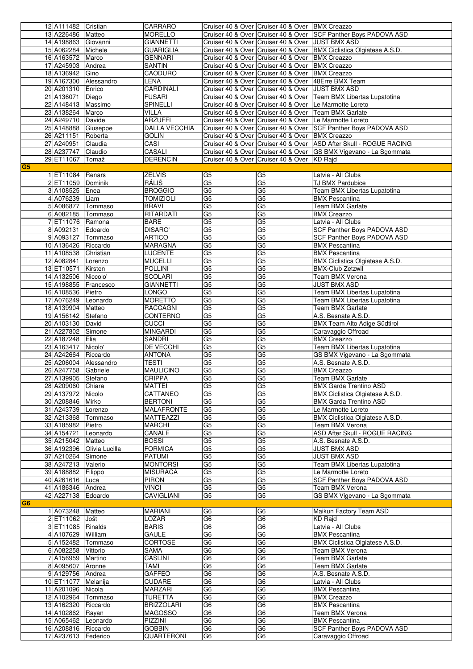|                | 12 A111482 Cristian  |                           | CARRARO              |                 | Cruiser 40 & Over Cruiser 40 & Over BMX Creazzo          |                                                                       |
|----------------|----------------------|---------------------------|----------------------|-----------------|----------------------------------------------------------|-----------------------------------------------------------------------|
|                |                      |                           |                      |                 |                                                          |                                                                       |
|                | 13 A226486 Matteo    |                           | <b>MORELLO</b>       |                 |                                                          | Cruiser 40 & Over Cruiser 40 & Over SCF Panther Boys PADOVA ASD       |
|                | 14 A198863 Giovanni  |                           | <b>GIANNETTI</b>     |                 | Cruiser 40 & Over Cruiser 40 & Over JUST BMX ASD         |                                                                       |
|                |                      |                           |                      |                 |                                                          |                                                                       |
|                | 15 A062284 Michele   |                           | <b>GUARIGLIA</b>     |                 |                                                          | Cruiser 40 & Over Cruiser 40 & Over   BMX Ciclistica Olgiatese A.S.D. |
|                | 16 A163572 Marco     |                           | <b>GENNARI</b>       |                 | Cruiser 40 & Over Cruiser 40 & Over BMX Creazzo          |                                                                       |
|                | 17 A245903 Andrea    |                           | <b>SANTIN</b>        |                 | Cruiser 40 & Over Cruiser 40 & Over                      | <b>BMX Creazzo</b>                                                    |
|                |                      |                           |                      |                 |                                                          |                                                                       |
|                | 18 A136942 Gino      |                           | <b>CAODURO</b>       |                 | Cruiser 40 & Over Cruiser 40 & Over                      | <b>BMX Creazzo</b>                                                    |
|                |                      | 19 A167300 Alessandro     | LENA                 |                 | Cruiser 40 & Over Cruiser 40 & Over                      | 48Erre BMX Team                                                       |
|                |                      |                           |                      |                 |                                                          |                                                                       |
|                | 20 A201310 Enrico    |                           | CARDINALI            |                 | Cruiser 40 & Over Cruiser 40 & Over JUST BMX ASD         |                                                                       |
|                | 21 A136071 Diego     |                           | <b>FUSARI</b>        |                 |                                                          | Cruiser 40 & Over Cruiser 40 & Over   Team BMX Libertas Lupatotina    |
|                | 22 A148413 Massimo   |                           | <b>SPINELLI</b>      |                 |                                                          | Cruiser 40 & Over   Cruiser 40 & Over   Le Marmotte Loreto            |
|                |                      |                           |                      |                 |                                                          |                                                                       |
|                | 23 A138264 Marco     |                           | VILLA                |                 | Cruiser 40 & Over   Cruiser 40 & Over   Team BMX Garlate |                                                                       |
|                | 24 A249710 Davide    |                           | <b>ARZUFFI</b>       |                 |                                                          | Cruiser 40 & Over   Cruiser 40 & Over   Le Marmotte Loreto            |
|                | 25 A148888 Giuseppe  |                           | <b>DALLA VECCHIA</b> |                 |                                                          | Cruiser 40 & Over Cruiser 40 & Over SCF Panther Boys PADOVA ASD       |
|                |                      |                           |                      |                 |                                                          |                                                                       |
|                | 26 A211151 Roberta   |                           | <b>GOLIN</b>         |                 | Cruiser 40 & Over Cruiser 40 & Over BMX Creazzo          |                                                                       |
|                | 27 A240951 Claudia   |                           | <b>CASI</b>          |                 |                                                          | Cruiser 40 & Over Cruiser 40 & Over   ASD After Skull - ROGUE RACING  |
|                |                      |                           |                      |                 |                                                          |                                                                       |
|                | 28 A237747 Claudio   |                           | CASALI               |                 |                                                          | Cruiser 40 & Over Cruiser 40 & Over GS BMX Vigevano - La Sgommata     |
|                | 29 ET11067 Tomaž     |                           | <b>DERENCIN</b>      |                 | Cruiser 40 & Over Cruiser 40 & Over KD Rajd              |                                                                       |
|                |                      |                           |                      |                 |                                                          |                                                                       |
| G <sub>5</sub> |                      |                           |                      |                 |                                                          |                                                                       |
|                | 1 ET11084 Renars     |                           | ŽELVIS               | G <sub>5</sub>  | G <sub>5</sub>                                           | Latvia - All Clubs                                                    |
|                | 2 ET11059 Dominik    |                           | <b>RÁLIŠ</b>         | G <sub>5</sub>  | G <sub>5</sub>                                           | TJ BMX Pardubice                                                      |
|                |                      |                           |                      |                 |                                                          |                                                                       |
|                | 3 A108525 Enea       |                           | <b>BROGGIO</b>       | G <sub>5</sub>  | G <sub>5</sub>                                           | Team BMX Libertas Lupatotina                                          |
|                | 4 A076239 Liam       |                           | <b>TOMIZIOLI</b>     | G5              | G <sub>5</sub>                                           | <b>BMX Pescantina</b>                                                 |
|                |                      |                           |                      | G <sub>5</sub>  |                                                          |                                                                       |
|                | 5 A086877 Tommaso    |                           | <b>BRAVI</b>         |                 | G <sub>5</sub>                                           | Team BMX Garlate                                                      |
|                | 6 A082185 Tommaso    |                           | RITARDATI            | $\overline{G5}$ | $\overline{G5}$                                          | <b>BMX Creazzo</b>                                                    |
|                | 7 ET11076 Ramona     |                           | <b>BARE</b>          | $\overline{G5}$ | G5                                                       | Latvia - All Clubs                                                    |
|                |                      |                           |                      |                 |                                                          |                                                                       |
|                | 8 A092131 Edoardo    |                           | <b>DISARO'</b>       | G5              | G5                                                       | SCF Panther Boys PADOVA ASD                                           |
|                | 9 A093127 Tommaso    |                           | <b>ARTICO</b>        | G <sub>5</sub>  | G5                                                       | SCF Panther Boys PADOVA ASD                                           |
|                |                      |                           |                      |                 |                                                          |                                                                       |
|                | 10 A136426 Riccardo  |                           | <b>MARAGNA</b>       | G <sub>5</sub>  | G <sub>5</sub>                                           | <b>BMX Pescantina</b>                                                 |
|                | 11 A108538 Christian |                           | LUCENTE              | G <sub>5</sub>  | G <sub>5</sub>                                           | <b>BMX Pescantina</b>                                                 |
|                |                      |                           |                      | G <sub>5</sub>  | G <sub>5</sub>                                           |                                                                       |
|                | 12 A082841 Lorenzo   |                           | <b>MUCELLI</b>       |                 |                                                          | BMX Ciclistica Olgiatese A.S.D.                                       |
|                | 13 ET10571 Kirsten   |                           | <b>POLLINI</b>       | G5              | G5                                                       | <b>BMX-Club Zetzwil</b>                                               |
|                | 14 A132506 Niccolo'  |                           | <b>SCOLARI</b>       | G <sub>5</sub>  | G <sub>5</sub>                                           | Team BMX Verona                                                       |
|                |                      |                           |                      |                 |                                                          |                                                                       |
|                | 15 A198855 Francesco |                           | <b>GIANNETTI</b>     | $\overline{G5}$ | G5                                                       | JUST BMX ASD                                                          |
|                | 16 A108536 Pietro    |                           | LONGO                | G5              | G5                                                       | Team BMX Libertas Lupatotina                                          |
|                |                      |                           |                      |                 |                                                          |                                                                       |
|                | 17 A076249 Leonardo  |                           | <b>MORETTO</b>       | G <sub>5</sub>  | G <sub>5</sub>                                           | Team BMX Libertas Lupatotina                                          |
|                | 18 A139904 Matteo    |                           | <b>RACCAGNI</b>      | G <sub>5</sub>  | G <sub>5</sub>                                           | <b>Team BMX Garlate</b>                                               |
|                |                      |                           | CONTERNO             | $\overline{G5}$ | G5                                                       | A.S. Besnate A.S.D.                                                   |
|                | 19 A156142 Stefano   |                           |                      |                 |                                                          |                                                                       |
|                | 20 A103130 David     |                           | <b>CUCCI</b>         | G5              | G <sub>5</sub>                                           | <b>BMX Team Alto Adige Südtirol</b>                                   |
|                |                      |                           |                      |                 |                                                          |                                                                       |
|                |                      |                           |                      |                 |                                                          |                                                                       |
|                | 21 A227802 Simone    |                           | <b>MINGARDI</b>      | G <sub>5</sub>  | G <sub>5</sub>                                           | Caravaggio Offroad                                                    |
|                | 22 A187248 Elia      |                           | SANDRI               | G <sub>5</sub>  | $\overline{G5}$                                          | <b>BMX Creazzo</b>                                                    |
|                |                      |                           |                      |                 |                                                          |                                                                       |
|                | 23 A163417 Nicolo'   |                           | DE VECCHI            | G <sub>5</sub>  | G <sub>5</sub>                                           | Team BMX Libertas Lupatotina                                          |
|                | 24 A242664 Riccardo  |                           | <b>ANTONA</b>        | G <sub>5</sub>  | G <sub>5</sub>                                           | GS BMX Vigevano - La Sgommata                                         |
|                |                      | 25 A206004 Alessandro     | <b>TESTI</b>         | G5              | G5                                                       | A.S. Besnate A.S.D.                                                   |
|                |                      |                           |                      |                 |                                                          |                                                                       |
|                | 26 A247758 Gabriele  |                           | <b>MAULICINO</b>     | G5              | G <sub>5</sub>                                           | <b>BMX Creazzo</b>                                                    |
|                | 27 A139905 Stefano   |                           | <b>CRIPPA</b>        | G5              | G5                                                       | Team BMX Garlate                                                      |
|                |                      |                           |                      |                 |                                                          |                                                                       |
|                | 28 A209060 Chiara    |                           | <b>MATTEI</b>        | G <sub>5</sub>  | G5                                                       | <b>BMX Garda Trentino ASD</b>                                         |
|                | 29 A137972 Nicolo    |                           | CATTANEO             | G <sub>5</sub>  | G <sub>5</sub>                                           | BMX Ciclistica Olgiatese A.S.D.                                       |
|                |                      |                           | <b>BERTONI</b>       |                 |                                                          | <b>BMX Garda Trentino ASD</b>                                         |
|                | 30 A208846 Mirko     |                           |                      | G <sub>5</sub>  | G5                                                       |                                                                       |
|                | 31 A243739 Lorenzo   |                           | <b>MALAFRONTE</b>    | G <sub>5</sub>  | G5                                                       | Le Marmotte Loreto                                                    |
|                | 32 A213368 Tommaso   |                           | MATTEAZZI            | G <sub>5</sub>  | G5                                                       | BMX Ciclistica Olgiatese A.S.D.                                       |
|                |                      |                           |                      |                 |                                                          |                                                                       |
|                | 33 A185982 Pietro    |                           | <b>MARCHI</b>        | G <sub>5</sub>  | G <sub>5</sub>                                           | Team BMX Verona                                                       |
|                | 34 A154721 Leonardo  |                           | CANALE               | G5              | G <sub>5</sub>                                           | ASD After Skull - ROGUE RACING                                        |
|                | 35 A215042 Matteo    |                           | <b>BOSSI</b>         | G5              | G5                                                       | A.S. Besnate A.S.D.                                                   |
|                |                      |                           |                      |                 |                                                          |                                                                       |
|                |                      | 36 A192396 Olivia Lucilla | <b>FORMICA</b>       | G <sub>5</sub>  | G5                                                       | <b>JUST BMX ASD</b>                                                   |
|                | 37 A210264 Simone    |                           | PATUMI               | G <sub>5</sub>  | G <sub>5</sub>                                           | JUST BMX ASD                                                          |
|                | 38 A247213 Valerio   |                           |                      |                 |                                                          |                                                                       |
|                |                      |                           | <b>MONTORSI</b>      | G <sub>5</sub>  | G5                                                       | Team BMX Libertas Lupatotina                                          |
|                | 39 A188882 Filippo   |                           | <b>MISURACA</b>      | G <sub>5</sub>  | G <sub>5</sub>                                           | Le Marmotte Loreto                                                    |
|                | 40 A261616 Luca      |                           | <b>PIRON</b>         | G5              | G <sub>5</sub>                                           | SCF Panther Boys PADOVA ASD                                           |
|                |                      |                           |                      |                 |                                                          |                                                                       |
|                | 41 A186346 Andrea    |                           | <b>VINCI</b>         | G5              | G <sub>5</sub>                                           | Team BMX Verona                                                       |
|                | 42 A227138 Edoardo   |                           | <b>CAVIGLIANI</b>    | G <sub>5</sub>  | G5                                                       | GS BMX Vigevano - La Sgommata                                         |
| G <sub>6</sub> |                      |                           |                      |                 |                                                          |                                                                       |
|                |                      |                           |                      |                 |                                                          |                                                                       |
|                | 1 A073248 Matteo     |                           | MARIANI              | G <sub>6</sub>  | G <sub>6</sub>                                           | Maikun Factory Team ASD                                               |
|                | 2 ET11062 Jošt       |                           | LOŽAR                | G <sub>6</sub>  | G <sub>6</sub>                                           | KD Raid                                                               |
|                |                      |                           |                      |                 |                                                          |                                                                       |
|                | 3 ET11085 Rinalds    |                           | <b>BARIS</b>         | G <sub>6</sub>  | G6                                                       | Latvia - All Clubs                                                    |
|                | 4 A107629 William    |                           | <b>GAULE</b>         | G <sub>6</sub>  | G <sub>6</sub>                                           | <b>BMX Pescantina</b>                                                 |
|                |                      |                           |                      | G <sub>6</sub>  | G6                                                       |                                                                       |
|                | 5 A152482 Tommaso    |                           | CORTOSE              |                 |                                                          | BMX Ciclistica Olgiatese A.S.D.                                       |
|                | 6 A082258 Vittorio   |                           | SAMA                 | G <sub>6</sub>  | G <sub>6</sub>                                           | Team BMX Verona                                                       |
|                | 7 A156959 Martino    |                           | <b>CASLINI</b>       | G <sub>6</sub>  | G <sub>6</sub>                                           | <b>Team BMX Garlate</b>                                               |
|                |                      |                           |                      |                 |                                                          |                                                                       |
|                | 8 A095607 Aronne     |                           | TAMI                 | G6              | G <sub>6</sub>                                           | <b>Team BMX Garlate</b>                                               |
|                | 9 A129756 Andrea     |                           | <b>GAFFEO</b>        | G6              | G <sub>6</sub>                                           | A.S. Besnate A.S.D.                                                   |
|                |                      |                           |                      |                 |                                                          |                                                                       |
|                | 10 ET11077 Melanija  |                           | CUDARE               | G <sub>6</sub>  | G <sub>6</sub>                                           | Latvia - All Clubs                                                    |
|                | 11 A201096 Nicola    |                           | MARZARI              | G <sub>6</sub>  | G <sub>6</sub>                                           | <b>BMX Pescantina</b>                                                 |
|                | 12 A102964 Tommaso   |                           | TURETTA              | G <sub>6</sub>  | G <sub>6</sub>                                           | <b>BMX Creazzo</b>                                                    |
|                |                      |                           |                      |                 |                                                          |                                                                       |
|                | 13 A162320 Riccardo  |                           | <b>BRIZZOLARI</b>    | G <sub>6</sub>  | G <sub>6</sub>                                           | <b>BMX Pescantina</b>                                                 |
|                | 14 A102862 Rayan     |                           | <b>MAGOSSO</b>       | G <sub>6</sub>  | G <sub>6</sub>                                           | Team BMX Verona                                                       |
|                |                      |                           |                      |                 |                                                          |                                                                       |
|                | 15 A065462 Leonardo  |                           | PIZZINI              | G6              | G6                                                       | <b>BMX Pescantina</b>                                                 |
|                | 16 A208816 Riccardo  |                           | <b>GOBBIN</b>        | G <sub>6</sub>  | G <sub>6</sub>                                           | SCF Panther Boys PADOVA ASD                                           |
|                | 17 A237613 Federico  |                           | QUARTERONI           | G <sub>6</sub>  | G <sub>6</sub>                                           | Caravaggio Offroad                                                    |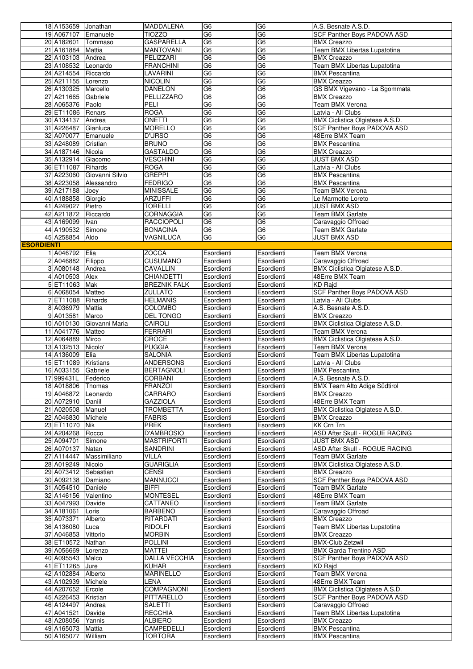|                   | 18 A153659 Jonathan                     |                            | <b>MADDALENA</b>             | G <sub>6</sub>           | G <sub>6</sub>           | A.S. Besnate A.S.D.                            |
|-------------------|-----------------------------------------|----------------------------|------------------------------|--------------------------|--------------------------|------------------------------------------------|
|                   | 19 A067107 Emanuele                     |                            | <b>TIOZZO</b>                | G <sub>6</sub>           | G <sub>6</sub>           | SCF Panther Boys PADOVA ASD                    |
|                   | 20 A182601 Tommaso                      |                            | <b>GASPARELLA</b>            | G6                       | G6                       | <b>BMX Creazzo</b>                             |
|                   | 21 A161884 Mattia                       |                            | <b>MANTOVANI</b>             | G6                       | G6                       | Team BMX Libertas Lupatotina                   |
|                   | 22 A103103 Andrea                       |                            | PELIZZARI                    | G <sub>6</sub>           | G6                       | <b>BMX Creazzo</b>                             |
|                   | 23 A108532 Leonardo                     |                            | <b>FRANCHINI</b>             | G <sub>6</sub>           | G <sub>6</sub>           | Team BMX Libertas Lupatotina                   |
|                   | 24 A214554 Riccardo                     |                            | LAVARINI                     | G <sub>6</sub>           | G <sub>6</sub>           | <b>BMX Pescantina</b>                          |
|                   | 25 A211155 Lorenzo                      |                            | <b>NICOLIN</b>               | G <sub>6</sub>           | G <sub>6</sub>           | <b>BMX Creazzo</b>                             |
|                   | 26 A130325 Marcello                     |                            | <b>DANELON</b>               | G <sub>6</sub>           | G <sub>6</sub>           | GS BMX Vigevano - La Sgommata                  |
|                   |                                         |                            | PELLIZZARO                   | G <sub>6</sub>           | G <sub>6</sub>           |                                                |
|                   | 27 A211665 Gabriele                     |                            |                              |                          |                          | <b>BMX Creazzo</b>                             |
|                   | 28 A065376 Paolo                        |                            | PELI                         | G <sub>6</sub>           | G <sub>6</sub>           | Team BMX Verona                                |
|                   | 29 ET11086 Renars                       |                            | <b>ROGA</b>                  | G6                       | G6                       | Latvia - All Clubs                             |
|                   | 30 A134137 Andrea                       |                            | ONETTI                       | G <sub>6</sub>           | G6                       | BMX Ciclistica Olgiatese A.S.D.                |
|                   | 31 A226487 Gianluca                     |                            | <b>MORELLO</b>               | G <sub>6</sub>           | G <sub>6</sub>           | SCF Panther Boys PADOVA ASD                    |
|                   | 32 A070077 Emanuele                     |                            | D'URSO                       | G <sub>6</sub>           | G6                       | 48Erre BMX Team                                |
|                   | 33 A248089                              | Cristian                   | <b>BRUNO</b>                 | G6                       | G <sub>6</sub>           | <b>BMX Pescantina</b>                          |
|                   | 34 A187146 Nicola                       |                            | GASTALDO                     | G <sub>6</sub>           | G <sub>6</sub>           | <b>BMX Creazzo</b>                             |
|                   | 35 A132914 Giacomo                      |                            | <b>VESCHINI</b>              | G <sub>6</sub>           | G <sub>6</sub>           | <b>JUST BMX ASD</b>                            |
|                   |                                         |                            |                              | G6                       | G6                       |                                                |
|                   | 36 ET11087 Rihards                      |                            | ROGA                         |                          |                          | Latvia - All Clubs                             |
|                   |                                         | 37 A223060 Giovanni Silvio | <b>GREPPI</b>                | G <sub>6</sub>           | G <sub>6</sub>           | <b>BMX Pescantina</b>                          |
|                   |                                         | 38 A223058 Alessandro      | <b>FEDRIGO</b>               | G <sub>6</sub>           | G <sub>6</sub>           | <b>BMX Pescantina</b>                          |
|                   | 39 A217188                              | Joey                       | <b>MINISSALE</b>             | G <sub>6</sub>           | G <sub>6</sub>           | Team BMX Verona                                |
|                   | 40 A188858 Giorgio                      |                            | <b>ARZUFFI</b>               | G <sub>6</sub>           | G6                       | Le Marmotte Loreto                             |
|                   | 41 A249027                              | Pietro                     | <b>TORELLI</b>               | G <sub>6</sub>           | G <sub>6</sub>           | <b>JUST BMX ASD</b>                            |
|                   | 42 A211872 Riccardo                     |                            | <b>CORNAGGIA</b>             | G <sub>6</sub>           | G <sub>6</sub>           | Team BMX Garlate                               |
|                   | 43 A169099   Ivan                       |                            | <b>RACCIOPOLI</b>            | G <sub>6</sub>           | G <sub>6</sub>           | Caravaggio Offroad                             |
|                   | 44 A190532 Simone                       |                            | <b>BONACINA</b>              | G <sub>6</sub>           | G <sub>6</sub>           | Team BMX Garlate                               |
|                   |                                         |                            |                              | G <sub>6</sub>           | G6                       |                                                |
|                   | 45 A258854 Aldo                         |                            | VAGNILUCA                    |                          |                          | <b>JUST BMX ASD</b>                            |
| <b>ESORDIENTI</b> |                                         |                            |                              |                          |                          |                                                |
|                   | 1 A046792 Elia                          |                            | <b>ZOCCA</b>                 | Esordienti               | Esordienti               | Team BMX Verona                                |
|                   | 2 A046882 Filippo                       |                            | CUSUMANO                     | Esordienti               | Esordienti               | Caravaggio Offroad                             |
|                   | 3 A080148 Andrea                        |                            | CAVALLIN                     | Esordienti               | Esordienti               | BMX Ciclistica Olgiatese A.S.D.                |
|                   | 4 A010503 Alex                          |                            | CHIANDETTI                   | Esordienti               | Esordienti               | 48Erre BMX Team                                |
|                   | 5 ET11063 Mak                           |                            | <b>BREZNIK FALK</b>          | Esordienti               | Esordienti               | <b>KD Rajd</b>                                 |
|                   | 6 A068054 Matteo                        |                            | ZULLATO                      | Esordienti               | Esordienti               | SCF Panther Boys PADOVA ASD                    |
|                   | 7 ET11088 Rihards                       |                            | <b>HELMANIS</b>              | Esordienti               | Esordienti               | Latvia - All Clubs                             |
|                   |                                         |                            |                              |                          |                          |                                                |
|                   | 8 A036979 Mattia                        |                            | <b>COLOMBO</b>               | Esordienti               | Esordienti               | A.S. Besnate A.S.D.                            |
|                   | 9 A013581 Marco                         |                            | <b>DEL TONGO</b>             | Esordienti               | Esordienti               | <b>BMX Creazzo</b>                             |
|                   |                                         | 10 A010130 Giovanni Maria  | CAIROLI                      | Esordienti               | Esordienti               | BMX Ciclistica Olgiatese A.S.D.                |
|                   | 11 A041776 Matteo                       |                            | <b>FERRARI</b>               | Esordienti               | Esordienti               | Team BMX Verona                                |
|                   | 12 A064889 Mirco                        |                            | CROCE                        | Esordienti               | Esordienti               | BMX Ciclistica Olgiatese A.S.D.                |
|                   | 13 A132513 Nicolo'                      |                            | <b>PUGGIA</b>                | Esordienti               | Esordienti               | Team BMX Verona                                |
|                   | 14 A136009 Elia                         |                            | <b>SALONIA</b>               | Esordienti               | Esordienti               | Team BMX Libertas Lupatotina                   |
|                   | 15 ET11089 Kristians                    |                            | <b>ANDERSONS</b>             | Esordienti               | Esordienti               | Latvia - All Clubs                             |
|                   | 16 A033155 Gabriele                     |                            | <b>BERTAGNOLI</b>            | Esordienti               | Esordienti               | <b>BMX Pescantina</b>                          |
|                   | 17 999431L Federico                     |                            |                              | Esordienti               |                          | A.S. Besnate A.S.D.                            |
|                   |                                         |                            | CORBANI                      |                          | Esordienti               |                                                |
|                   | 18 A018806 Thomas                       |                            | <b>FRANZOI</b>               | Esordienti               | Esordienti               | <b>BMX Team Alto Adige Südtirol</b>            |
|                   | 19 A046872 Leonardo                     |                            | CARRARO                      | Esordienti               | Esordienti               | <b>BMX Creazzo</b>                             |
|                   | 20 A072910 Daniil                       |                            | <b>GAZZIOLA</b>              | Esordienti               | Esordienti               | 48Erre BMX Team                                |
|                   | 21 A020508 Manuel                       |                            | <b>TROMBETTA</b>             | Esordienti               | Esordienti               | BMX Ciclistica Olgiatese A.S.D.                |
|                   | 22 A046830 Michele                      |                            | FABRIS                       | Esordienti               | Esordienti               | <b>BMX Creazzo</b>                             |
|                   | 23 ET11070 Nik                          |                            | PREK                         | Esordienti               | Esordienti               | KK Crn Trn                                     |
|                   | 24 A204268 Rocco                        |                            | D'AMBROSIO                   | Esordienti               | Esordienti               | ASD After Skull - ROGUE RACING                 |
|                   | 25 A094701                              | Simone                     | <b>MASTRIFORTI</b>           | Esordienti               | Esordienti               | <b>JUST BMX ASD</b>                            |
|                   | 26 A070137 Natan                        |                            | SANDRINI                     | Esordienti               | Esordienti               | ASD After Skull - ROGUE RACING                 |
|                   |                                         | 27 A114447 Massimiliano    | VILLA                        | Esordienti               | Esordienti               | Team BMX Garlate                               |
|                   |                                         |                            |                              |                          |                          |                                                |
|                   | 28 A019249 Nicolo                       |                            | <b>GUARIGLIA</b>             | Esordienti               | Esordienti               | BMX Ciclistica Olgiatese A.S.D.                |
|                   | 29 A073412 Sebastian                    |                            | CENSI                        | Esordienti               | Esordienti               | <b>BMX Creazzo</b>                             |
|                   | 30 A092138 Damiano                      |                            | <b>MANNUCCI</b>              | Esordienti               | Esordienti               | <b>SCF Panther Boys PADOVA ASD</b>             |
|                   | 31 A054510 Daniele                      |                            | BIFFI                        | Esordienti               | Esordienti               | Team BMX Garlate                               |
|                   | 32 A146156 Valentino                    |                            | <b>MONTESEL</b>              | Esordienti               | Esordienti               | 48Erre BMX Team                                |
|                   | 33 A047993 Davide                       |                            | CATTANEO                     | Esordienti               | Esordienti               | <b>Team BMX Garlate</b>                        |
|                   | 34 A181061                              | Loris                      | <b>BARBENO</b>               | Esordienti               | Esordienti               | Caravaggio Offroad                             |
|                   | 35 A073371                              | Alberto                    | RITARDATI                    | Esordienti               | Esordienti               | <b>BMX Creazzo</b>                             |
|                   | 36 A136080                              | Luca                       | <b>RIDOLFI</b>               | Esordienti               | Esordienti               | Team BMX Libertas Lupatotina                   |
|                   | 37 A046853                              | Vittorio                   | <b>MORBIN</b>                | Esordienti               | Esordienti               | <b>BMX Creazzo</b>                             |
|                   | 38 ET10572 Nathan                       |                            | <b>POLLINI</b>               |                          |                          | <b>BMX-Club Zetzwil</b>                        |
|                   |                                         |                            |                              | Esordienti               | Esordienti               |                                                |
|                   | 39 A056669 Lorenzo                      |                            | <b>MATTEI</b>                | Esordienti               | Esordienti               | <b>BMX Garda Trentino ASD</b>                  |
|                   | 40 A095543 Malco                        |                            | <b>DALLA VECCHIA</b>         | Esordienti               | Esordienti               | SCF Panther Boys PADOVA ASD                    |
|                   | 41 ET11265 Jure                         |                            | <b>KUHAR</b>                 | Esordienti               | Esordienti               | KD Raid                                        |
|                   | 42 A102884 Alberto                      |                            | MARINELLO                    | Esordienti               | Esordienti               | Team BMX Verona                                |
|                   | 43 A102939 Michele                      |                            | LENA                         | Esordienti               | Esordienti               | 48Erre BMX Team                                |
|                   | 44 A207652 Ercole                       |                            | <b>COMPAGNONI</b>            | Esordienti               | Esordienti               | BMX Ciclistica Olgiatese A.S.D.                |
|                   | 45 A226453 Kristian                     |                            | PITTARELLO                   | Esordienti               | Esordienti               | SCF Panther Boys PADOVA ASD                    |
|                   | 46 A124497 Andrea                       |                            | <b>SALETTI</b>               | Esordienti               | Esordienti               | Caravaggio Offroad                             |
|                   | 47 A041521 Davide                       |                            | <b>RECCHIA</b>               | Esordienti               | Esordienti               | Team BMX Libertas Lupatotina                   |
|                   | 48 A208056 Yannis                       |                            | <b>ALBIERO</b>               | Esordienti               | Esordienti               | <b>BMX</b> Creazzo                             |
|                   |                                         |                            |                              |                          |                          |                                                |
|                   |                                         |                            |                              |                          |                          |                                                |
|                   | 49 A165073 Mattia<br>50 A165077 William |                            | CAMPEDELLI<br><b>TORTORA</b> | Esordienti<br>Esordienti | Esordienti<br>Esordienti | <b>BMX Pescantina</b><br><b>BMX Pescantina</b> |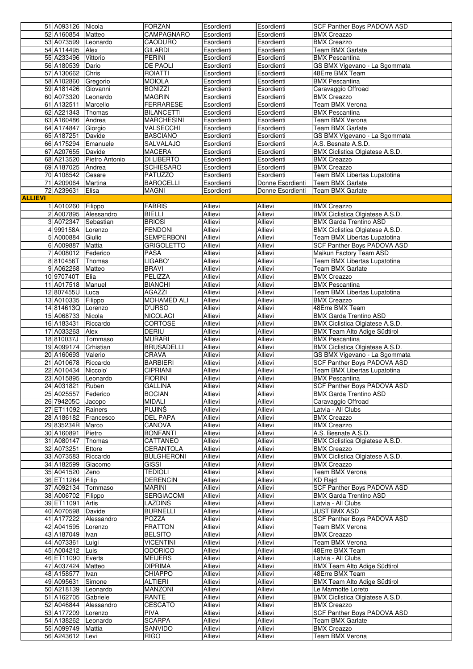|                | 51 A093126 Nicola                    |                           | <b>FORZAN</b>                 | Esordienti         | Esordienti         | SCF Panther Boys PADOVA ASD           |
|----------------|--------------------------------------|---------------------------|-------------------------------|--------------------|--------------------|---------------------------------------|
|                | 52 A160854 Matteo                    |                           | CAMPAGNARO                    | Esordienti         | Esordienti         | <b>BMX Creazzo</b>                    |
|                | 53 A073599 Leonardo                  |                           | <b>CAODURO</b>                | Esordienti         | Esordienti         | <b>BMX Creazzo</b>                    |
|                | 54 A114495 Alex                      |                           | <b>GILARDI</b>                | Esordienti         | Esordienti         | <b>Team BMX Garlate</b>               |
|                | 55 A233496                           | Vittorio                  | <b>PERINI</b>                 | Esordienti         | Esordienti         | <b>BMX Pescantina</b>                 |
|                | 56 A180539                           | Dario                     | <b>DE PAOLI</b>               | Esordienti         | Esordienti         | GS BMX Vigevano - La Sgommata         |
|                | 57 A130662                           | Chris                     | <b>ROIATTI</b>                | Esordienti         | Esordienti         | 48Erre BMX Team                       |
|                | 58 A102860 Gregorio                  |                           | <b>MOIOLA</b>                 | Esordienti         | Esordienti         | <b>BMX Pescantina</b>                 |
|                |                                      |                           |                               |                    |                    |                                       |
|                | 59 A181426                           | Giovanni                  | <b>BONIZZI</b>                | Esordienti         | Esordienti         | Caravaggio Offroad                    |
|                | 60 A073320                           | Leonardo                  | <b>MAGRIN</b>                 | Esordienti         | Esordienti         | <b>BMX Creazzo</b>                    |
|                | 61 A132511                           | Marcello                  | <b>FERRARESE</b>              | Esordienti         | Esordienti         | Team BMX Verona                       |
|                | 62 A221343                           | Thomas                    | <b>BILANCETTI</b>             | Esordienti         | Esordienti         | <b>BMX Pescantina</b>                 |
|                | 63 A160486                           | Andrea                    | <b>MARCHESINI</b>             | Esordienti         | Esordienti         | Team BMX Verona                       |
|                | 64 A174847 Giorgio                   |                           | VALSECCHI                     | Esordienti         | Esordienti         | <b>Team BMX Garlate</b>               |
|                | 65 A187251                           | Davide                    | <b>BASCIANO</b>               | Esordienti         | Esordienti         | GS BMX Vigevano - La Sgommata         |
|                | 66 A175294                           | Emanuele                  | SALVALAJO                     | Esordienti         | Esordienti         | A.S. Besnate A.S.D.                   |
|                | 67 A207655                           | Davide                    | <b>MACERA</b>                 | Esordienti         | Esordienti         | BMX Ciclistica Olgiatese A.S.D.       |
|                |                                      | 68 A213520 Pietro Antonio | DI LIBERTO                    | Esordienti         | Esordienti         | <b>BMX Creazzo</b>                    |
|                | 69 A187025                           | Andrea                    | <b>SCHIESARO</b>              | Esordienti         | Esordienti         | <b>BMX Creazzo</b>                    |
|                | 70 A108542                           | Cesare                    | <b>PATUZZO</b>                | Esordienti         | Esordienti         | Team BMX Libertas Lupatotina          |
|                | 71 A209064 Martina                   |                           | <b>BAROCELLI</b>              | Esordienti         | Donne Esordienti   | Team BMX Garlate                      |
|                | 72 A239631                           | Elisa                     | MAGNI                         | Esordienti         | Donne Esordienti   | <b>Team BMX Garlate</b>               |
| <b>ALLIEVI</b> |                                      |                           |                               |                    |                    |                                       |
|                |                                      |                           |                               |                    |                    |                                       |
|                | 1 A010260 Filippo                    |                           | <b>FABRIS</b>                 | Allievi            | Allievi            | <b>BMX Creazzo</b>                    |
|                |                                      | 2 A007895 Alessandro      | <b>BIELLI</b>                 | Allievi            | Allievi            | BMX Ciclistica Olgiatese A.S.D.       |
|                | 3 A072347 Sebastian                  |                           | <b>BRIOSI</b>                 | Allievi            | Allievi            | <b>BMX Garda Trentino ASD</b>         |
|                | 4 999158A                            | Lorenzo                   | <b>FENDONI</b>                | Allievi            | Allievi            | BMX Ciclistica Olgiatese A.S.D.       |
|                | 5 A000884                            | Giulio                    | <b>SEMPERBONI</b>             | Allievi            | Allievi            | Team BMX Libertas Lupatotina          |
|                | 6 A009887                            | <b>Mattia</b>             | <b>GRIGOLETTO</b>             | Allievi            | Allievi            | SCF Panther Boys PADOVA ASD           |
|                | 7 A008012 Federico                   |                           | <b>PASA</b>                   | Allievi            | Allievi            | Maikun Factory Team ASD               |
|                | 8810456T                             | Thomas                    | LIGABO'                       | Allievi            | Allievi            | Team BMX Libertas Lupatotina          |
|                | 9 A062268 Matteo                     |                           | <b>BRAVI</b>                  | Allievi            | Allievi            | Team BMX Garlate                      |
|                | 10 970740T                           | Elia                      | PELIZZA                       | Allievi            | Allievi            | <b>BMX Creazzo</b>                    |
|                | 11 A017518 Manuel                    |                           | <b>BIANCHI</b>                | Allievi            | Allievi            | <b>BMX Pescantina</b>                 |
|                | 12 807455U Luca                      |                           | <b>AGAZZI</b>                 | Allievi            | Allievi            | Team BMX Libertas Lupatotina          |
|                | 13 A010335 Filippo                   |                           | <b>MOHAMED ALI</b>            | Allievi            | Allievi            | <b>BMX Creazzo</b>                    |
|                | 14 814613Q Lorenzo                   |                           | <b>D'URSO</b>                 | Allievi            | Allievi            | 48Erre BMX Team                       |
|                | 15 A068733 Nicola                    |                           | <b>NICOLACI</b>               | Allievi            | Allievi            | <b>BMX Garda Trentino ASD</b>         |
|                | 16 A183431                           | Riccardo                  | CORTOSE                       | Allievi            | Allievi            | BMX Ciclistica Olgiatese A.S.D.       |
|                | 17 A033263                           | Alex                      | DERIU                         | Allievi            | Allievi            | <b>BMX Team Alto Adige Südtirol</b>   |
|                |                                      |                           |                               |                    |                    |                                       |
|                | 18810037J                            | Tommaso                   | <b>MURARI</b>                 | Allievi            | Allievi            | <b>BMX Pescantina</b>                 |
|                | 19 A099174                           | Crhistian                 | <b>BRUSADELLI</b>             | Allievi            | Allievi            | BMX Ciclistica Olgiatese A.S.D.       |
|                | 20 A160693 Valerio                   |                           | CRAVA                         | Allievi            | Allievi            | GS BMX Vigevano - La Sgommata         |
|                | 21 A010678 Riccardo                  |                           | <b>BARBIERI</b>               | Allievi            | Allievi            | SCF Panther Boys PADOVA ASD           |
|                | 22 A010434 Niccolo'                  |                           | <b>CIPRIANI</b>               | Allievi            | Allievi            | Team BMX Libertas Lupatotina          |
|                | 23 A015895 Leonardo                  |                           | <b>FIORINI</b>                | Allievi            | Allievi            | <b>BMX Pescantina</b>                 |
|                | 24 A031821                           | Ruben                     | <b>GALLINA</b>                | Allievi            | Allievi            | <b>SCF Panther Boys PADOVA ASD</b>    |
|                | 25 A025557 Federico                  |                           | <b>BOCIAN</b>                 | Allievi            | Allievi            | <b>BMX Garda Trentino ASD</b>         |
|                | 26 794205C                           | Jacopo                    | <b>MIDALI</b>                 | Allievi            | Allievi            | Caravaggio Offroad                    |
|                | 27 ET11092 Rainers                   |                           | <b>PUJINŠ</b>                 | Allievi            | Allievi            | Latvia - All Clubs                    |
|                | 28 A186182 Francesco                 |                           | DEL PAPA                      | Allievi            | Allievi            | <b>BMX Creazzo</b>                    |
|                | 29 835234R Marco                     |                           | CANOVA                        | Allievi            | Allievi            | <b>BMX Creazzo</b>                    |
|                | 30 A160891                           | Pietro                    | <b>BONFANTI</b>               | Allievi            | Allievi            | A.S. Besnate A.S.D.                   |
|                | 31 A080147                           | Thomas                    | <b>CATTANEO</b>               | Allievi            | Allievi            | BMX Ciclistica Olgiatese A.S.D.       |
|                | 32 A073251                           | Ettore                    | <b>CERANTOLA</b>              | Allievi            | Allievi            | <b>BMX Creazzo</b>                    |
|                | 33 A073583 Riccardo                  |                           | <b>BULGHERONI</b>             | Allievi            | Allievi            | BMX Ciclistica Olgiatese A.S.D.       |
|                | 34 A182599                           | Giacomo                   | GISSI                         | Allievi            | Allievi            | <b>BMX Creazzo</b>                    |
|                |                                      |                           | <b>TEDIOLI</b>                |                    |                    | Team BMX Verona                       |
|                | 35 A041520                           | Zeno                      |                               | Allievi            | Allievi            | <b>KD Raid</b>                        |
|                | 36 ET11264 Filip                     |                           | <b>DERENCIN</b>               | <b>Allievi</b>     | Allievi            |                                       |
|                | 37 A092134                           | Tommaso                   | <b>MARINI</b>                 | Allievi            | Allievi            | SCF Panther Boys PADOVA ASD           |
|                | 38 A006702                           | Filippo                   | SERGIACOMI                    | Allievi            | Allievi            | <b>BMX Garda Trentino ASD</b>         |
|                | 39 ET11091                           | Artis                     | LAZDINŠ                       | Allievi            | Allievi            | Latvia - All Clubs                    |
|                | 40 A070598 Davide                    |                           | <b>BURNELLI</b>               | Allievi            | Allievi            | <b>JUST BMX ASD</b>                   |
|                | 41 A177222                           | Alessandro                | POZZA                         | Allievi            | Allievi            | SCF Panther Boys PADOVA ASD           |
|                | 42 A041595                           | Lorenzo                   | <b>FRATTON</b>                | Allievi            | Allievi            | Team BMX Verona                       |
|                | 43 A187049                           | Ivan                      | <b>BELSITO</b>                | Allievi            | Allievi            | <b>BMX Creazzo</b>                    |
|                | 44 A073361                           | Luigi                     | <b>VICENTINI</b>              | Allievi            | Allievi            | Team BMX Verona                       |
|                | 45 A004212                           | Luis                      | <b>ODORICO</b>                | Allievi            | Allievi            | 48Erre BMX Team                       |
|                | 46 ET11090                           | Everts                    | <b>MEIJERS</b>                | Allievi            | Allievi            | Latvia - All Clubs                    |
|                | 47 A037424                           | Matteo                    | <b>DIPRIMA</b>                | Allievi            | Allievi            | BMX Team Alto Adige Südtirol          |
|                | 48 A158577                           | Ivan                      | <b>CHIAPPO</b>                | Allievi            | Allievi            | 48Erre BMX Team                       |
|                |                                      |                           |                               | Allievi            | Allievi            | <b>BMX Team Alto Adige Südtirol</b>   |
|                |                                      |                           |                               |                    |                    |                                       |
|                | 49 A095631                           | Simone                    | ALTIERI                       |                    |                    |                                       |
|                | 50 A218139                           | Leonardo                  | MANZONI                       | Allievi            | Allievi            | Le Marmotte Loreto                    |
|                | 51 A162705 Gabriele                  |                           | RANTE                         | Allievi            | Allievi            | BMX Ciclistica Olgiatese A.S.D.       |
|                | 52 A046844                           | Alessandro                | <b>CESCATO</b>                | Allievi            | Allievi            | <b>BMX Creazzo</b>                    |
|                | 53 A177209 Lorenzo                   |                           | <b>PIVA</b>                   | Allievi            | Allievi            | <b>SCF Panther Boys PADOVA ASD</b>    |
|                | 54 A138262 Leonardo                  |                           | <b>SCARPA</b>                 | Allievi            | Allievi            | <b>Team BMX Garlate</b>               |
|                | 55 A099749 Mattia<br>56 A243612 Levi |                           | <b>SANVIDO</b><br><b>RIGO</b> | Allievi<br>Allievi | Allievi<br>Allievi | <b>BMX Creazzo</b><br>Team BMX Verona |